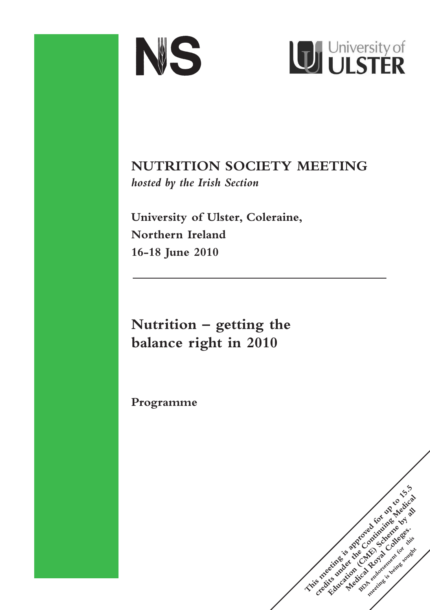



**NUTRITION SOCIETY MEETING** *hosted by the Irish Section*

**University of Ulster, Coleraine, Northern Ireland 16-18 June 2010**

**Nutrition – getting the balance right in 2010**

**Programme**

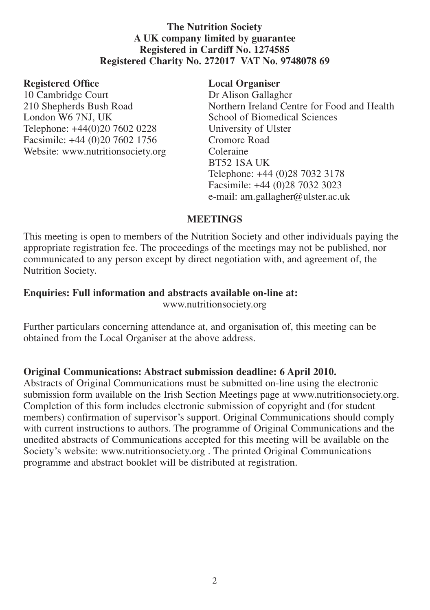## **The Nutrition Society A UK company limited by guarantee Registered in Cardiff No. 1274585 Registered Charity No. 272017 VAT No. 9748078 69**

### **Registered Office Local Organiser**

10 Cambridge Court **Dr Alison Gallagher**<br>
210 Shepherds Bush Road **Dr Alison Gallagher** Telephone: +44(0)20 7602 0228 University of Ulster<br>Facsimile: +44 (0)20 7602 1756 Cromore Road Facsimile: +44 (0)20 7602 1756 Cromore I<br>Website: www.nutritionsociety.org Coleraine Website: www.nutritionsociety.org

210 Shepherds Bush Road Northern Ireland Centre for Food and Health London W6 7NJ. UK School of Biomedical Sciences School of Biomedical Sciences BT52 1SA UK Telephone: +44 (0)28 7032 3178 Facsimile: +44 (0)28 7032 3023 e-mail: am.gallagher@ulster.ac.uk

## **MEETINGS**

This meeting is open to members of the Nutrition Society and other individuals paying the appropriate registration fee. The proceedings of the meetings may not be published, nor communicated to any person except by direct negotiation with, and agreement of, the Nutrition Society.

# **Enquiries: Full information and abstracts available on-line at:**

www.nutritionsociety.org

Further particulars concerning attendance at, and organisation of, this meeting can be obtained from the Local Organiser at the above address.

## **Original Communications: Abstract submission deadline: 6 April 2010.**

Abstracts of Original Communications must be submitted on-line using the electronic submission form available on the Irish Section Meetings page at www.nutritionsociety.org. Completion of this form includes electronic submission of copyright and (for student members) confirmation of supervisor's support. Original Communications should comply with current instructions to authors. The programme of Original Communications and the unedited abstracts of Communications accepted for this meeting will be available on the Society's website: www.nutritionsociety.org . The printed Original Communications programme and abstract booklet will be distributed at registration.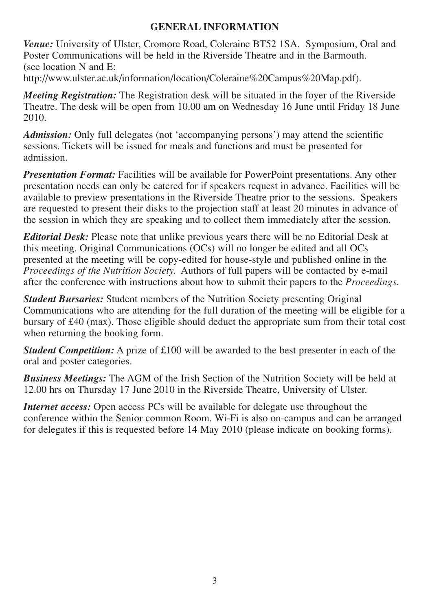# **GENERAL INFORMATION**

*Venue:* University of Ulster, Cromore Road, Coleraine BT52 1SA. Symposium, Oral and Poster Communications will be held in the Riverside Theatre and in the Barmouth. (see location N and E:

http://www.ulster.ac.uk/information/location/Coleraine%20Campus%20Map.pdf).

*Meeting Registration:* The Registration desk will be situated in the foyer of the Riverside Theatre. The desk will be open from 10.00 am on Wednesday 16 June until Friday 18 June 2010.

*Admission:* Only full delegates (not 'accompanying persons') may attend the scientific sessions. Tickets will be issued for meals and functions and must be presented for admission.

*Presentation Format:* Facilities will be available for PowerPoint presentations. Any other presentation needs can only be catered for if speakers request in advance. Facilities will be available to preview presentations in the Riverside Theatre prior to the sessions. Speakers are requested to present their disks to the projection staff at least 20 minutes in advance of the session in which they are speaking and to collect them immediately after the session.

*Editorial Desk:* Please note that unlike previous years there will be no Editorial Desk at this meeting. Original Communications (OCs) will no longer be edited and all OCs presented at the meeting will be copy-edited for house-style and published online in the *Proceedings of the Nutrition Society.* Authors of full papers will be contacted by e-mail after the conference with instructions about how to submit their papers to the *Proceedings*.

*Student Bursaries:* Student members of the Nutrition Society presenting Original Communications who are attending for the full duration of the meeting will be eligible for a bursary of £40 (max). Those eligible should deduct the appropriate sum from their total cost when returning the booking form.

*Student Competition:* A prize of £100 will be awarded to the best presenter in each of the oral and poster categories.

*Business Meetings:* The AGM of the Irish Section of the Nutrition Society will be held at 12.00 hrs on Thursday 17 June 2010 in the Riverside Theatre, University of Ulster.

*Internet access:* Open access PCs will be available for delegate use throughout the conference within the Senior common Room. Wi-Fi is also on-campus and can be arranged for delegates if this is requested before 14 May 2010 (please indicate on booking forms).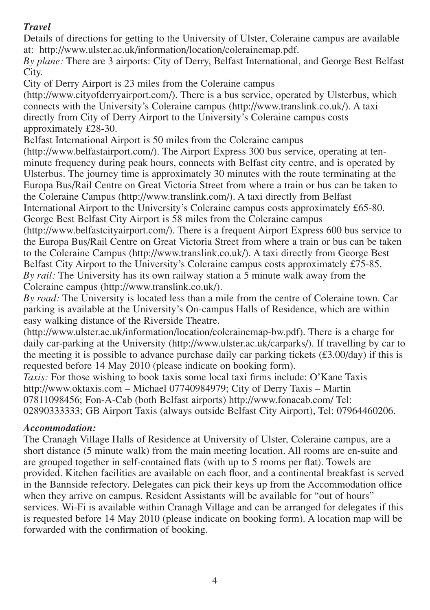# *Travel*

Details of directions for getting to the University of Ulster, Coleraine campus are available at: http://www.ulster.ac.uk/information/location/colerainemap.pdf.

*By plane:* There are 3 airports: City of Derry, Belfast International, and George Best Belfast City.

City of Derry Airport is 23 miles from the Coleraine campus

(http://www.cityofderryairport.com/). There is a bus service, operated by Ulsterbus, which connects with the University's Coleraine campus (http://www.translink.co.uk/). A taxi directly from City of Derry Airport to the University's Coleraine campus costs approximately £28-30.

Belfast International Airport is 50 miles from the Coleraine campus

(http://www.belfastairport.com/). The Airport Express 300 bus service, operating at tenminute frequency during peak hours, connects with Belfast city centre, and is operated by Ulsterbus. The journey time is approximately 30 minutes with the route terminating at the Europa Bus/Rail Centre on Great Victoria Street from where a train or bus can be taken to the Coleraine Campus (http://www.translink.com/). A taxi directly from Belfast International Airport to the University's Coleraine campus costs approximately £65-80. George Best Belfast City Airport is 58 miles from the Coleraine campus

(http://www.belfastcityairport.com/). There is a frequent Airport Express 600 bus service to the Europa Bus/Rail Centre on Great Victoria Street from where a train or bus can be taken to the Coleraine Campus (http://www.translink.co.uk/). A taxi directly from George Best Belfast City Airport to the University's Coleraine campus costs approximately £75-85. *By rail:* The University has its own railway station a 5 minute walk away from the Coleraine campus (http://www.translink.co.uk/).

*By road:* The University is located less than a mile from the centre of Coleraine town. Car parking is available at the University's On-campus Halls of Residence, which are within easy walking distance of the Riverside Theatre.

(http://www.ulster.ac.uk/information/location/colerainemap-bw.pdf). There is a charge for daily car-parking at the University (http://www.ulster.ac.uk/carparks/). If travelling by car to the meeting it is possible to advance purchase daily car parking tickets  $(\text{\pounds}3.00/\text{day})$  if this is requested before 14 May 2010 (please indicate on booking form).

*Taxis:* For those wishing to book taxis some local taxi firms include: O'Kane Taxis http://www.oktaxis.com – Michael 07740984979; City of Derry Taxis – Martin 07811098456; Fon-A-Cab (both Belfast airports) http://www.fonacab.com/ Tel: 02890333333; GB Airport Taxis (always outside Belfast City Airport), Tel: 07964460206.

## *Accommodation:*

The Cranagh Village Halls of Residence at University of Ulster, Coleraine campus, are a short distance (5 minute walk) from the main meeting location. All rooms are en-suite and are grouped together in self-contained flats (with up to 5 rooms per flat). Towels are provided. Kitchen facilities are available on each floor, and a continental breakfast is served in the Bannside refectory. Delegates can pick their keys up from the Accommodation office when they arrive on campus. Resident Assistants will be available for "out of hours" services. Wi-Fi is available within Cranagh Village and can be arranged for delegates if this is requested before 14 May 2010 (please indicate on booking form). A location map will be forwarded with the confirmation of booking.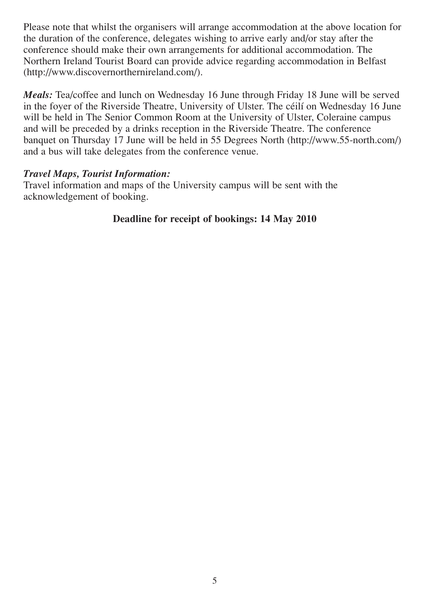Please note that whilst the organisers will arrange accommodation at the above location for the duration of the conference, delegates wishing to arrive early and/or stay after the conference should make their own arrangements for additional accommodation. The Northern Ireland Tourist Board can provide advice regarding accommodation in Belfast (http://www.discovernorthernireland.com/).

*Meals:* Tea/coffee and lunch on Wednesday 16 June through Friday 18 June will be served in the foyer of the Riverside Theatre, University of Ulster. The céilí on Wednesday 16 June will be held in The Senior Common Room at the University of Ulster, Coleraine campus and will be preceded by a drinks reception in the Riverside Theatre. The conference banquet on Thursday 17 June will be held in 55 Degrees North (http://www.55-north.com/) and a bus will take delegates from the conference venue.

### *Travel Maps, Tourist Information:*

Travel information and maps of the University campus will be sent with the acknowledgement of booking.

## **Deadline for receipt of bookings: 14 May 2010**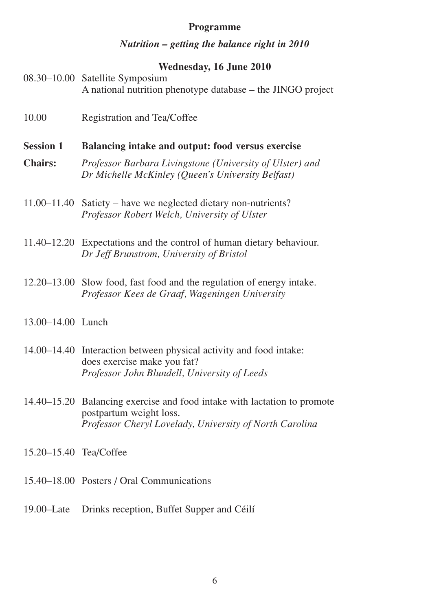#### **Programme**

#### *Nutrition – getting the balance right in 2010*

#### **Wednesday, 16 June 2010**

| 08.30–10.00 Satellite Symposium                             |
|-------------------------------------------------------------|
| A national nutrition phenotype database – the JINGO project |

- 10.00 Registration and Tea/Coffee
- **Session 1 Balancing intake and output: food versus exercise**
- **Chairs:** *Professor Barbara Livingstone (University of Ulster) and Dr Michelle McKinley (Queen's University Belfast)*
- 11.00–11.40 Satiety have we neglected dietary non-nutrients? *Professor Robert Welch, University of Ulster*
- 11.40–12.20 Expectations and the control of human dietary behaviour. *Dr Jeff Brunstrom, University of Bristol*
- 12.20–13.00 Slow food, fast food and the regulation of energy intake. *Professor Kees de Graaf, Wageningen University*
- 13.00–14.00 Lunch
- 14.00–14.40 Interaction between physical activity and food intake: does exercise make you fat? *Professor John Blundell, University of Leeds*
- 14.40–15.20 Balancing exercise and food intake with lactation to promote postpartum weight loss. *Professor Cheryl Lovelady, University of North Carolina*
- 15.20–15.40 Tea/Coffee
- 15.40–18.00 Posters / Oral Communications
- 19.00–Late Drinks reception, Buffet Supper and Céilí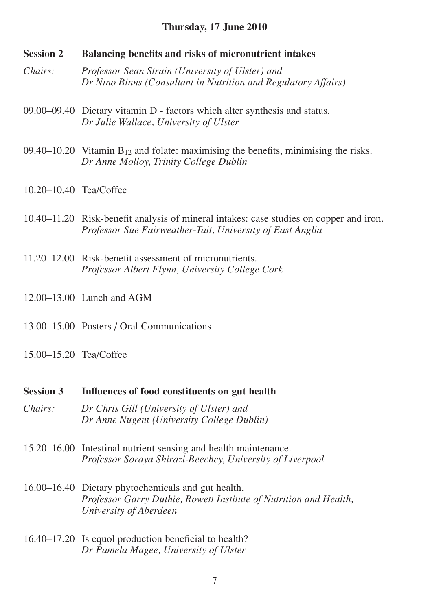### **Thursday, 17 June 2010**

- **Session 2 Balancing benefits and risks of micronutrient intakes**
- *Chairs: Professor Sean Strain (University of Ulster) and Dr Nino Binns (Consultant in Nutrition and Regulatory Affairs)*
- 09.00–09.40 Dietary vitamin D factors which alter synthesis and status. *Dr Julie Wallace, University of Ulster*
- 09.40–10.20 Vitamin  $B_{12}$  and folate: maximising the benefits, minimising the risks. *Dr Anne Molloy, Trinity College Dublin*
- 10.20–10.40 Tea/Coffee
- 10.40–11.20 Risk-benefit analysis of mineral intakes: case studies on copper and iron. *Professor Sue Fairweather-Tait, University of East Anglia*
- 11.20–12.00 Risk-benefit assessment of micronutrients. *Professor Albert Flynn, University College Cork*
- 12.00–13.00 Lunch and AGM
- 13.00–15.00 Posters / Oral Communications
- 15.00–15.20 Tea/Coffee
- **Session 3 Influences of food constituents on gut health**
- *Chairs: Dr Chris Gill (University of Ulster) and Dr Anne Nugent (University College Dublin)*
- 15.20–16.00 Intestinal nutrient sensing and health maintenance. *Professor Soraya Shirazi-Beechey, University of Liverpool*
- 16.00–16.40 Dietary phytochemicals and gut health. *Professor Garry Duthie, Rowett Institute of Nutrition and Health, University of Aberdeen*
- 16.40–17.20 Is equol production beneficial to health? *Dr Pamela Magee, University of Ulster*